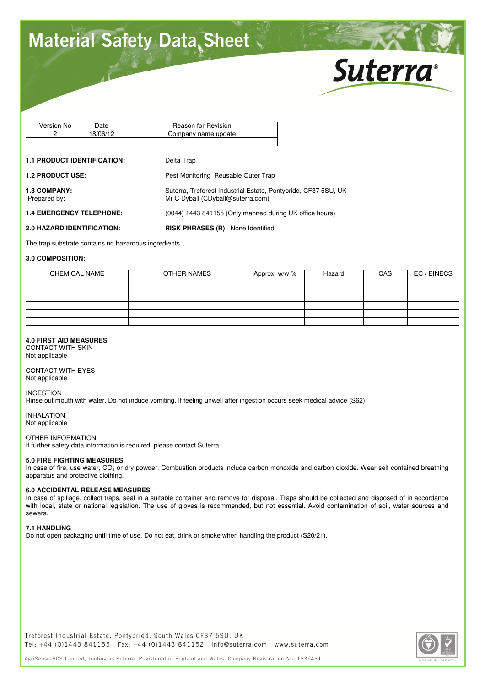# **Material Safety Data Sheet**



| No.<br>Version | Jate     | Reason for Revision |
|----------------|----------|---------------------|
|                | 18/06/12 | Company name update |
|                |          |                     |

#### **1.1 PRODUCT IDENTIFICATION:** Delta Trap

| <b>1.2 PRODUCT USE:</b>             | Pest Monitoring Reusable Outer Trap                                                                 |
|-------------------------------------|-----------------------------------------------------------------------------------------------------|
| <b>1.3 COMPANY:</b><br>Prepared by: | Suterra, Treforest Industrial Estate, Pontypridd, CF37 5SU, UK<br>Mr C Dyball (CDyball@suterra.com) |
| <b>1.4 EMERGENCY TELEPHONE:</b>     | (0044) 1443 841155 (Only manned during UK office hours)                                             |
| <b>2.0 HAZARD IDENTIFICATION:</b>   | <b>RISK PHRASES (R)</b> None Identified                                                             |

The trap substrate contains no hazardous ingredients.

# **3.0 COMPOSITION:**

| <b>CHEMICAL NAME</b> | OTHER NAMES | Approx w/w % | Hazard | CAS | EC / EINECS |
|----------------------|-------------|--------------|--------|-----|-------------|
|                      |             |              |        |     |             |
|                      |             |              |        |     |             |
|                      |             |              |        |     |             |
|                      |             |              |        |     |             |
|                      |             |              |        |     |             |
|                      |             |              |        |     |             |
|                      |             |              |        |     |             |

# **4.0 FIRST AID MEASURES**

CONTACT WITH SKIN Not applicable

CONTACT WITH EYES Not applicable

#### INGESTION

Rinse out mouth with water. Do not induce vomiting. If feeling unwell after ingestion occurs seek medical advice (S62)

INHALATION Not applicable

### OTHER INFORMATION

If further safety data information is required, please contact Suterra

# **5.0 FIRE FIGHTING MEASURES**

In case of fire, use water, CO<sub>2</sub> or dry powder. Combustion products include carbon monoxide and carbon dioxide. Wear self contained breathing apparatus and protective clothing.

#### **6.0 ACCIDENTAL RELEASE MEASURES**

In case of spillage, collect traps, seal in a suitable container and remove for disposal. Traps should be collected and disposed of in accordance with local, state or national legislation. The use of gloves is recommended, but not essential. Avoid contamination of soil, water sources and sewers.

#### **7.1 HANDLING**

Do not open packaging until time of use. Do not eat, drink or smoke when handling the product (S20/21).

Treforest Industrial Estate, Pontypridd, South Wales CF37 5SU, UK Tel: +44 (0)1443 841155 Fax: +44 (0)1443 841152 info@suterra.com www.suterra.com



AgriSense-BCS Limited, trading as Suterra, Registered in England and Wales, Company Registration No. 1835431.